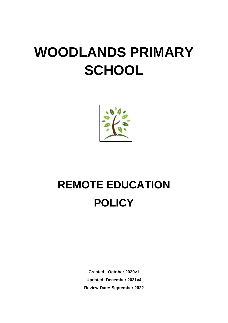# **WOODLANDS PRIMARY SCHOOL**



# **REMOTE EDUCATION POLICY**

**Created: October 2020v1 Updated: December 2021v4 Review Date: September 2022**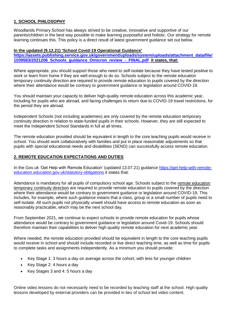# **1. SCHOOL PHILOSOPHY**

Woodlands Primary School has always strived to be creative, innovative and supportive of our parents/children in the best way possible to make learning purposeful and holistic. Our strategy for remote learning continues this. This policy is a direct result of latest government guidance set out below.

#### **In the updated (9.12.21) 'School Covid-19 Operational Guidance'**

**[https://assets.publishing.service.gov.uk/government/uploads/system/uploads/attachment\\_data/file/](https://assets.publishing.service.gov.uk/government/uploads/system/uploads/attachment_data/file/1039583/2021206_Schools_guidance_Omicron_review_-_FINAL.pdf) [1039583/2021206\\_Schools\\_guidance\\_Omicron\\_review\\_-\\_FINAL.pdf](https://assets.publishing.service.gov.uk/government/uploads/system/uploads/attachment_data/file/1039583/2021206_Schools_guidance_Omicron_review_-_FINAL.pdf) it states, that:** 

Where appropriate, you should support those who need to self-isolate because they have tested positive to work or learn from home if they are well enough to do so. Schools subject to the remote education temporary continuity direction are required to provide remote education to pupils covered by the direction where their attendance would be contrary to government guidance or legislation around COVID-19.

You should maintain your capacity to deliver high-quality remote education across this academic year, including for pupils who are abroad, and facing challenges to return due to COVID-19 travel restrictions, for the period they are abroad.

Independent Schools (not including academies) are only covered by the remote education temporary continuity direction in relation to state-funded pupils in their schools. However, they are still expected to meet the Independent School Standards in full at all times.

The remote education provided should be equivalent in length to the core teaching pupils would receive in school. You should work collaboratively with families and put in place reasonable adjustments so that pupils with special educational needs and disabilities (SEND) can successfully access remote education.

#### **2. REMOTE EDUCATION EXPECTATIONS AND DUTIES**

In the Gov.uk 'Get Help with Remote Education' (updated 13.07.21) guidance [https://get-help-with-remote](https://get-help-with-remote-education.education.gov.uk/statutory-obligations)[education.education.gov.uk/statutory-obligations](https://get-help-with-remote-education.education.gov.uk/statutory-obligations) it states that:

Attendance is mandatory for all pupils of compulsory school age. Schools subject to the [remote education](https://www.gov.uk/government/publications/remote-education-temporary-continuity-direction-explanatory-note?utm_source=remote_education)  [temporary continuity direction](https://www.gov.uk/government/publications/remote-education-temporary-continuity-direction-explanatory-note?utm_source=remote_education) are required to provide remote education to pupils covered by the direction where their attendance would be contrary to government guidance or legislation around COVID-19. This includes, for example, where such guidance means that a class, group or a small number of pupils need to self-isolate. All such pupils not physically unwell should have access to remote education as soon as reasonably practicable, which may be the next school day.

From September 2021, we continue to expect schools to provide remote education for pupils whose attendance would be contrary to government guidance or legislation around Covid-19. Schools should therefore maintain their capabilities to deliver high quality remote education for next academic year.

Where needed, the remote education provided should be equivalent in length to the core teaching pupils would receive in school and should include recorded or live direct teaching time, as well as time for pupils to complete tasks and assignments independently. As a minimum you should provide:

- Key Stage 1: 3 hours a day on average across the cohort, with less for younger children
- Key Stage 2: 4 hours a day
- Key Stages 3 and 4: 5 hours a day

Online video lessons do not necessarily need to be recorded by teaching staff at the school. High quality lessons developed by external providers can be provided in lieu of school led video content.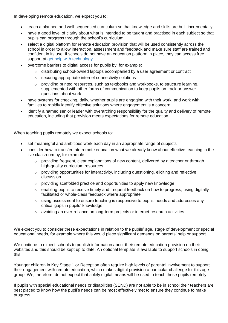In developing remote education, we expect you to:

- teach a planned and well-sequenced curriculum so that knowledge and skills are built incrementally
- have a good level of clarity about what is intended to be taught and practised in each subject so that pupils can progress through the school's curriculum
- select a digital platform for remote education provision that will be used consistently across the school in order to allow interaction, assessment and feedback and make sure staff are trained and confident in its use. If schools do not have an education platform in place, they can access free support at [get help with technology](https://get-help-with-tech.education.gov.uk/?utm_source=remote_education)
- overcome barriers to digital access for pupils by, for example:
	- $\circ$  distributing school-owned laptops accompanied by a user agreement or contract
	- o securing appropriate internet connectivity solutions
	- $\circ$  providing printed resources, such as textbooks and workbooks, to structure learning, supplemented with other forms of communication to keep pupils on track or answer questions about work
- have systems for checking, daily, whether pupils are engaging with their work, and work with families to rapidly identify effective solutions where engagement is a concern
- identify a named senior leader with overarching responsibility for the quality and delivery of remote education, including that provision meets expectations for remote education

When teaching pupils remotely we expect schools to:

- set meaningful and ambitious work each day in an appropriate range of subjects
- consider how to transfer into remote education what we already know about effective teaching in the live classroom by, for example:
	- o providing frequent, clear explanations of new content, delivered by a teacher or through high-quality curriculum resources
	- o providing opportunities for interactivity, including questioning, eliciting and reflective discussion
	- o providing scaffolded practice and opportunities to apply new knowledge
	- $\circ$  enabling pupils to receive timely and frequent feedback on how to progress, using digitallyfacilitated or whole-class feedback where appropriate
	- $\circ$  using assessment to ensure teaching is responsive to pupils' needs and addresses any critical gaps in pupils' knowledge
	- $\circ$  avoiding an over-reliance on long-term projects or internet research activities

We expect you to consider these expectations in relation to the pupils' age, stage of development or special educational needs, for example where this would place significant demands on parents' help or support.

We continue to expect schools to publish information about their remote education provision on their websites and this should be kept up to date. An optional template is available to support schools in doing this.

Younger children in Key Stage 1 or Reception often require high levels of parental involvement to support their engagement with remote education, which makes digital provision a particular challenge for this age group. We, therefore, do not expect that solely digital means will be used to teach these pupils remotely.

If pupils with special educational needs or disabilities (SEND) are not able to be in school their teachers are best placed to know how the pupil's needs can be most effectively met to ensure they continue to make progress.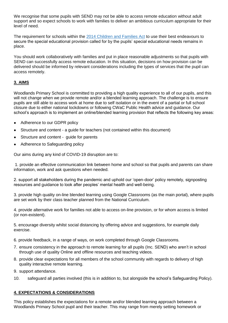We recognise that some pupils with SEND may not be able to access remote education without adult support and so expect schools to work with families to deliver an ambitious curriculum appropriate for their level of need.

The requirement for schools within the [2014 Children and Families Act](https://www.legislation.gov.uk/ukpga/2014/6/contents/enacted?utm_source=remote_education) to use their best endeavours to secure the special educational provision called for by the pupils' special educational needs remains in place.

You should work collaboratively with families and put in place reasonable adjustments so that pupils with SEND can successfully access remote education. In this situation, decisions on how provision can be delivered should be informed by relevant considerations including the types of services that the pupil can access remotely.

# **3. AIMS**

Woodlands Primary School is committed to providing a high quality experience to all of our pupils, and this will not change when we provide remote and/or a blended learning approach. The challenge is to ensure pupils are still able to access work at home due to self isolation or in the event of a partial or full school closure due to either national lockdowns or following CWaC Public Health advice and guidance. Our school's approach is to implement an online/blended learning provision that reflects the following key areas:

- Adherence to our GDPR policy
- Structure and content a quide for teachers (not contained within this document)
- Structure and content guide for parents
- Adherence to Safeguarding policy

Our aims during any kind of COVID-19 disruption are to:

1. provide an effective communication link between home and school so that pupils and parents can share information, work and ask questions when needed.

2. support all stakeholders during the pandemic and uphold our 'open-door' policy remotely, signposting resources and guidance to look after peoples' mental health and well-being.

3. provide high quality on-line blended learning using Google Classrooms (as the main portal), where pupils are set work by their class teacher planned from the National Curriculum.

4. provide alternative work for families not able to access on-line provision, or for whom access is limited (or non-existent).

5. encourage diversity whilst social distancing by offering advice and suggestions, for example daily exercise.

6. provide feedback, in a range of ways, on work completed through Google Classrooms.

- 7. ensure consistency in the approach to remote learning for all pupils (Inc. SEND) who aren't in school through use of quality Online and offline resources and teaching videos.
- 8. provide clear expectations for all members of the school community with regards to delivery of high quality interactive remote learning.
- 9. support attendance.
- 10. safeguard all parties involved (this is in addition to, but alongside the school's Safeguarding Policy).

## **4. EXPECTATIONS & CONSIDERATIONS**

This policy establishes the expectations for a remote and/or blended learning approach between a Woodlands Primary School pupil and their teacher. This may range from merely setting homework or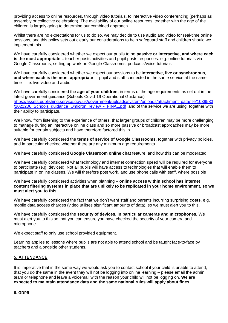providing access to online resources, through video tutorials, to interactive video conferencing (perhaps as assembly or collective celebration). The availability of our online resources, together with the age of the children is largely going to determine our combined approach.

Whilst there are no expectations for us to do so, we may decide to use audio and video for real-time online sessions, and this policy sets out clearly our considerations to help safeguard staff and children should we implement this.

We have carefully considered whether we expect our pupils to be **passive or interactive, and where each is the most appropriate** = teacher posts activities and pupil posts responses. e.g. online tutorials via Google Classrooms, setting up work on Google Classrooms, podcasts/voice tutorials,

We have carefully considered whether we expect our sessions to be i**nteractive, live or synchronous, and where each is the most appropriate** = pupil and staff connected in the same service at the same time – i.e. live video and audio.

We have carefully considered the **age of your children,** in terms of the age requirements as set out in the latest government guidance (Schools Covid-19 Operational Guidance) [https://assets.publishing.service.gov.uk/government/uploads/system/uploads/attachment\\_data/file/1039583](https://assets.publishing.service.gov.uk/government/uploads/system/uploads/attachment_data/file/1039583/2021206_Schools_guidance_Omicron_review_-_FINAL.pdf) /2021206 Schools guidance Omicron review - FINAL.pdf and of the service we are using, together with their ability to participate.

We know, from listening to the experience of others, that larger groups of children may be more challenging to manage during an interactive online class and so more passive or broadcast approaches may be more suitable for certain subjects and have therefore factored this in.

We have carefully considered the **terms of service of Google Classrooms**, together with privacy policies, and in particular checked whether there are any minimum age requirements.

We have carefully considered **Google Classroom online chat** feature, and how this can be moderated.

We have carefully considered what technology and internet connection speed will be required for everyone to participate (e.g. devices). Not all pupils will have access to technologies that will enable them to participate in online classes. We will therefore post work, and use phone calls with staff, where possible

We have carefully considered activities when planning – **online access within school has internet content filtering systems in place that are unlikely to be replicated in your home environment, so we must alert you to this**.

We have carefully considered the fact that we don't want staff and parents incurring surprising **costs**, e.g. mobile data access charges (video utilises significant amounts of data), so we must alert you to this.

We have carefully considered the **security of devices, in particular cameras and microphones.** We must alert you to this so that you can ensure you have checked the security of your camera and microphone.

We expect staff to only use school provided equipment.

Learning applies to lessons where pupils are not able to attend school and be taught face-to-face by teachers and alongside other students.

#### **5. ATTENDANCE**

It is imperative that in the same way we would ask you to contact school if your child is unable to attend, that you do the same in the event they will not be logging into online learning – please email the admin team or telephone and leave a voicemail with the reason your child will not be logging on. **We are expected to maintain attendance data and the same national rules will apply about fines.**

#### **6. GDPR**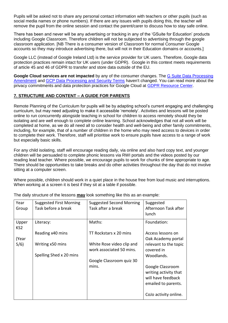Pupils will be asked not to share any personal contact information with teachers or other pupils (such as social media names or phone numbers). If there are any issues with pupils doing this, the teacher will remove the pupil from the online session and contact the parent/carer to discuss how to stay safe online.

There has been and never will be any advertising or tracking in any of the 'GSuite for Education' products including Google Classroom. Therefore children will not be subjected to advertising through the google classroom application. [NB There is a consumer version of Classroom for normal Consumer Google accounts so they may introduce advertising there, but will not in their Education domains or accounts.]

Google LLC (instead of Google Ireland Ltd) is the service provider for UK users. Therefore, Google data protection practices remain intact for UK users (under GDPR). Google in this context meets requirements of article 45 and 46 of GDPR to transfer and store data outside of the EU.

**Google Cloud services are not impacted** by any of the consumer changes. The [G Suite Data Processing](https://gsuite.google.com/terms/dpa_terms.html)  [Amendment](https://gsuite.google.com/terms/dpa_terms.html) and [GCP Data Processing and Security Terms](https://cloud.google.com/terms/data-processing-terms) haven't changed. You can read more about the privacy commitments and data protection practices for Google Cloud at [GDPR Resource Center.](https://cloud.google.com/security/gdpr/resource-center)

# **7. STRUCTURE AND CONTENT – A GUIDE FOR PARENTS**

Remote Planning of the Curriculum for pupils will be by adapting school's current engaging and challenging curriculum, but may need adjusting to make it accessible 'remotely'. Activities and lessons will be posted online to run concurrently alongside teaching in school for children to access remotely should they be isolating and are well enough to complete online learning. School acknowledges that not all work will be completed at home, as we do all need all to consider health and well-being and other family commitments, including, for example, that of a number of children in the home who may need access to devices in order to complete their work. Therefore, staff will prioritise work to ensure pupils have access to a range of work but especially basic skills.

For any child isolating, staff will encourage reading daily, via online and also hard copy text, and younger children will be persuaded to complete phonic lessons via RWI portals and the videos posted by our reading lead teacher. Where possible, we encourage pupils to work for chunks of time appropriate to age. There should be opportunities to take breaks and do other activities throughout the day that do not involve sitting at a computer screen.

Where possible, children should work in a quiet place in the house free from loud music and interruptions. When working at a screen it is best if they sit at a table if possible.

| Year<br>Group            | <b>Suggested First Morning</b><br>Task before a break | <b>Suggested Second Morning</b><br>Task after a break | Suggested<br>Afternoon Task after<br>lunch                                             |
|--------------------------|-------------------------------------------------------|-------------------------------------------------------|----------------------------------------------------------------------------------------|
| Upper<br>KS <sub>2</sub> | Literacy:                                             | Maths:                                                | Foundation:                                                                            |
| (Year                    | Reading x40 mins                                      | TT Rockstars x 20 mins                                | Access lessons on<br>Oak Academy portal                                                |
| 5/6)                     | Writing x50 mins                                      | White Rose video clip and<br>work associated 50 mins. | relevant to the topic<br>covered in                                                    |
|                          | Spelling Shed x 20 mins                               | Google Classroom quiz 30                              | Woodlands.                                                                             |
|                          |                                                       | mins.                                                 | Google Classroom<br>writing activity that<br>will have feedback<br>emailed to parents. |
|                          |                                                       |                                                       | CoJo activity online.                                                                  |

The daily structure of the lessons **may** look something like this as an example: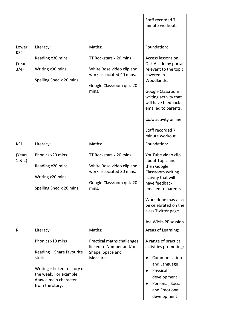|                                           |                                                                                                                                                                            |                                                                                                                                | Staff recorded 7<br>minute workout.                                                                                                                                                                                                                                   |
|-------------------------------------------|----------------------------------------------------------------------------------------------------------------------------------------------------------------------------|--------------------------------------------------------------------------------------------------------------------------------|-----------------------------------------------------------------------------------------------------------------------------------------------------------------------------------------------------------------------------------------------------------------------|
| Lower<br>KS <sub>2</sub><br>(Year<br>3/4) | Literacy:<br>Reading x30 mins<br>Writing x30 mins<br>Spelling Shed x 20 mins                                                                                               | Maths:<br>TT Rockstars x 20 mins<br>White Rose video clip and<br>work associated 40 mins.<br>Google Classroom quiz 20<br>mins. | Foundation:<br>Access lessons on<br>Oak Academy portal<br>relevant to the topic<br>covered in<br>Woodlands.<br>Google Classroom<br>writing activity that<br>will have feedback<br>emailed to parents.<br>CoJo activity online.<br>Staff recorded 7<br>minute workout. |
| KS1                                       | Literacy:                                                                                                                                                                  | Maths:                                                                                                                         | Foundation:                                                                                                                                                                                                                                                           |
| (Years<br>1 & 2)                          | Phonics x20 mins<br>Reading x20 mins<br>Writing x20 mins<br>Spelling Shed x 20 mins                                                                                        | TT Rockstars x 20 mins<br>White Rose video clip and<br>work associated 30 mins.<br>Google Classroom quiz 20<br>mins.           | YouTube video clip<br>about Topic and<br>then Google<br>Classroom writing<br>activity that will<br>have feedback<br>emailed to parents.<br>Work done may also<br>be celebrated on the<br>class Twitter page.<br>Joe Wicks PE session                                  |
| R                                         | Literacy:<br>Phonics x10 mins<br>Reading - Share favourite<br>stories<br>Writing - linked to story of<br>the week. For example<br>draw a main character<br>from the story. | Maths:<br>Practical maths challenges<br>linked to Number and/or<br>Shape, Space and<br>Measures.                               | Areas of Learning:<br>A range of practical<br>activities promoting:<br>Communication<br>and Language<br>Physical<br>development<br>Personal, Social<br>and Emotional<br>development                                                                                   |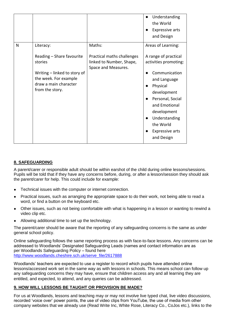|                                                                                                                                                             |                                                                                         | Understanding<br>the World<br><b>Expressive arts</b><br>and Design                                                                                                                                                                                        |
|-------------------------------------------------------------------------------------------------------------------------------------------------------------|-----------------------------------------------------------------------------------------|-----------------------------------------------------------------------------------------------------------------------------------------------------------------------------------------------------------------------------------------------------------|
| N<br>Literacy:<br>Reading - Share favourite<br>stories<br>Writing - linked to story of<br>the week. For example<br>draw a main character<br>from the story. | Maths:<br>Practical maths challenges<br>linked to Number, Shape,<br>Space and Measures. | Areas of Learning:<br>A range of practical<br>activities promoting:<br>Communication<br>and Language<br>Physical<br>development<br>Personal, Social<br>and Emotional<br>development<br>Understanding<br>the World<br><b>Expressive arts</b><br>and Design |

## **8. SAFEGUARDING**

A parent/carer or responsible adult should be within earshot of the child during online lessons/sessions. Pupils will be told that if they have any concerns before, during, or after a lesson/session they should ask the parent/carer for help. This could include for example:

- Technical issues with the computer or internet connection.
- Practical issues, such as arranging the appropriate space to do their work, not being able to read a word, or find a button on the keyboard etc.
- Other issues, such as not being comfortable with what is happening in a lesson or wanting to rewind a video clip etc.
- Allowing additional time to set up the technology.

The parent/carer should be aware that the reporting of any safeguarding concerns is the same as under general school policy.

Online safeguarding follows the same reporting process as with face-to-face lessons. Any concerns can be addressed to Woodlands' Designated Safeguarding Leads (names and contact information are as per Woodlands Safeguarding Policy – found here [http://www.woodlands.cheshire.sch.uk/serve\\_file/2617888](http://www.woodlands.cheshire.sch.uk/serve_file/2617888)

Woodlands' teachers are expected to use a register to record which pupils have attended online lessons/accessed work set in the same way as with lessons in schools. This means school can follow up any safeguarding concerns they may have, ensure that children access any and all learning they are entitled, and expected, to attend, and any queries can be addressed.

#### **9. HOW WILL LESSONS BE TAUGHT OR PROVISION BE MADE?**

For us at Woodlands, lessons and teaching may or may not involve live typed chat, live video discussions, recorded 'voice over' power points, the use of video clips from YouTube, the use of media from other company websites that we already use (Read Write Inc, White Rose, Literacy Co., CoJos etc.), links to the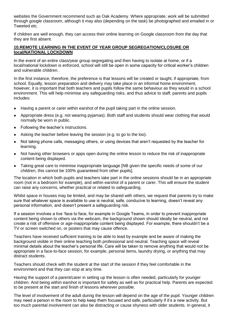websites the Government recommend such as Oak Academy. Where appropriate, work will be submitted through google classroom, although it may also (depending on the task) be photographed and emailed in or Tweeted etc.

If children are well enough, they can access their online learning on Google classroom from the day that they are first absent.

#### **10.REMOTE LEARNING IN THE EVENT OF YEAR GROUP SEGREGATION/CLOSURE OR local/NATIONAL LOCKDOWN**

In the event of an entire class/year group segregating and then having to isolate at home, or if a local/national lockdown is enforced, school will still be open in some capacity for critical worker's children and vulnerable children.

In the first instance, therefore, the preference is that lessons will be created or taught, if appropriate, from school. Equally, lesson preparation and delivery may take place in an informal home environment, however, it is important that both teachers and pupils follow the same behaviour as they would in a school environment. This will help minimise any safeguarding risks, and thus advice to staff, parents and pupils includes:

- Having a parent or carer within earshot of the pupil taking part in the online session.
- Appropriate dress (e.g. not wearing pyjamas). Both staff and students should wear clothing that would normally be worn in public.
- Following the teacher's instructions.
- Asking the teacher before leaving the session (e.g. to go to the loo).
- Not taking phone calls, messaging others, or using devices that aren't requested by the teacher for learning.
- Not having other browsers or apps open during the online lesson to reduce the risk of inappropriate content being displayed.
- Taking great care to minimise inappropriate language [NB given the specific needs of some of our children, this cannot be 100% guaranteed from other pupils].

The location in which both pupils and teachers take part in the online sessions should be in an appropriate room (not in a bedroom for example), and within earshot of a parent or carer. This will ensure the student can raise any concerns, whether practical or related to safeguarding.

Whilst space in houses may be limited, and may be shared with others, we request that parents try to make sure that whatever space is available to use is neutral, safe, conducive to learning, doesn't reveal any personal information, and doesn't present a safeguarding risk.

If a session involves a live 'face to face, for example in Google Teams, in order to prevent inappropriate content being shown to others via the webcam, the background shown should ideally be neutral, and not create a risk of offensive or age-inappropriate content being displayed. For example, there shouldn't be a TV or screen switched on, or posters that may cause offence.

Teachers have received sufficient training to be able to lead by example and be aware of making the background visible in their online teaching both professional and neutral. Teaching space will reveal minimal details about the teacher's personal life. Care will be taken to remove anything that would not be appropriate in a face-to-face session, for example, personal items, laundry drying, or anything that may distract students.

Teachers should check with the student at the start of the session if they feel comfortable in the environment and that they can stop at any time.

Having the support of a parent/carer in setting up the lesson is often needed, particularly for younger children. And being within earshot is important for safety as well as for practical help. Parents are expected to be present at the start and finish of lessons wherever possible.

The level of involvement of the adult during the lesson will depend on the age of the pupil. Younger children may need a person in the room to help keep them focused and safe, particularly if it's a new activity. But too much parental involvement can also be distracting or cause shyness with older students. In general, it